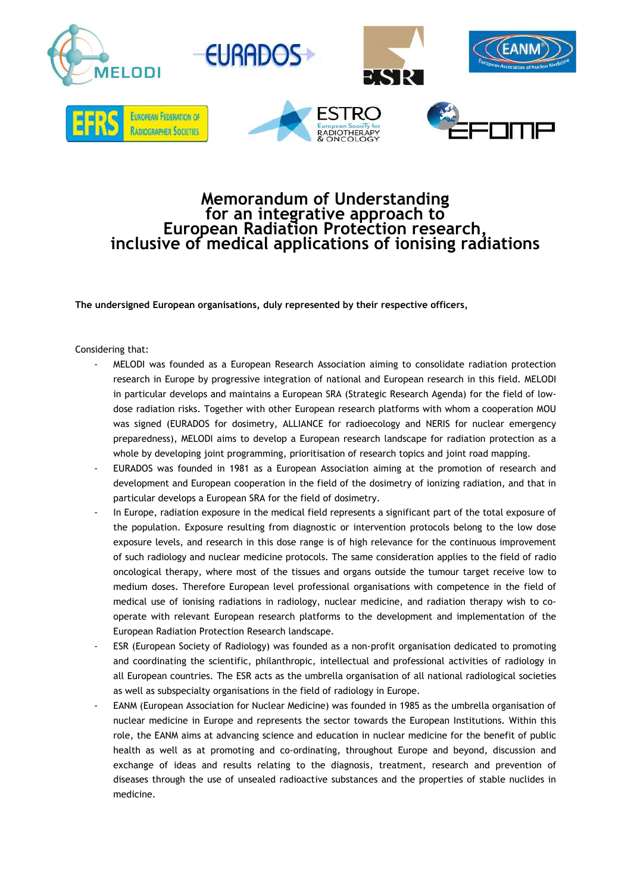

## **Memorandum of Understanding for an integrative approach to European Radiation Protection research, inclusive of medical applications of ionising radiations**

**The undersigned European organisations, duly represented by their respective officers,**

Considering that:

- MELODI was founded as a European Research Association aiming to consolidate radiation protection research in Europe by progressive integration of national and European research in this field. MELODI in particular develops and maintains a European SRA (Strategic Research Agenda) for the field of lowdose radiation risks. Together with other European research platforms with whom a cooperation MOU was signed (EURADOS for dosimetry, ALLIANCE for radioecology and NERIS for nuclear emergency preparedness), MELODI aims to develop a European research landscape for radiation protection as a whole by developing joint programming, prioritisation of research topics and joint road mapping.
- EURADOS was founded in 1981 as a European Association aiming at the promotion of research and development and European cooperation in the field of the dosimetry of ionizing radiation, and that in particular develops a European SRA for the field of dosimetry.
- In Europe, radiation exposure in the medical field represents a significant part of the total exposure of the population. Exposure resulting from diagnostic or intervention protocols belong to the low dose exposure levels, and research in this dose range is of high relevance for the continuous improvement of such radiology and nuclear medicine protocols. The same consideration applies to the field of radio oncological therapy, where most of the tissues and organs outside the tumour target receive low to medium doses. Therefore European level professional organisations with competence in the field of medical use of ionising radiations in radiology, nuclear medicine, and radiation therapy wish to cooperate with relevant European research platforms to the development and implementation of the European Radiation Protection Research landscape.
- ESR (European Society of Radiology) was founded as a non-profit organisation dedicated to promoting and coordinating the scientific, philanthropic, intellectual and professional activities of radiology in all European countries. The ESR acts as the umbrella organisation of all national radiological societies as well as subspecialty organisations in the field of radiology in Europe.
- EANM (European Association for Nuclear Medicine) was founded in 1985 as the umbrella organisation of nuclear medicine in Europe and represents the sector towards the European Institutions. Within this role, the EANM aims at advancing science and education in nuclear medicine for the benefit of public health as well as at promoting and co-ordinating, throughout Europe and beyond, discussion and exchange of ideas and results relating to the diagnosis, treatment, research and prevention of diseases through the use of unsealed radioactive substances and the properties of stable nuclides in medicine.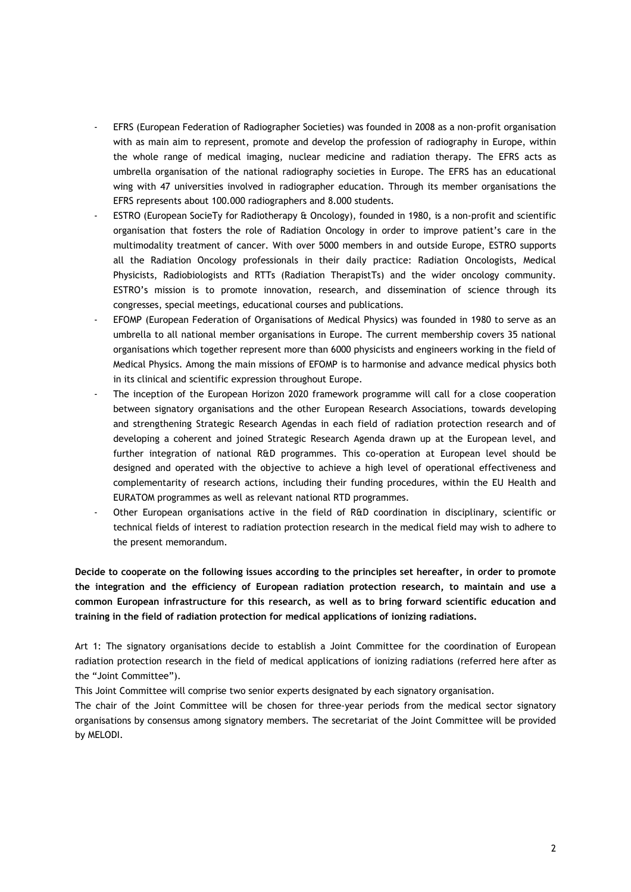- EFRS (European Federation of Radiographer Societies) was founded in 2008 as a non-profit organisation with as main aim to represent, promote and develop the profession of radiography in Europe, within the whole range of medical imaging, nuclear medicine and radiation therapy. The EFRS acts as umbrella organisation of the national radiography societies in Europe. The EFRS has an educational wing with 47 universities involved in radiographer education. Through its member organisations the EFRS represents about 100.000 radiographers and 8.000 students.
- ESTRO (European SocieTy for Radiotherapy & Oncology), founded in 1980, is a non-profit and scientific organisation that fosters the role of Radiation Oncology in order to improve patient's care in the multimodality treatment of cancer. With over 5000 members in and outside Europe, ESTRO supports all the Radiation Oncology professionals in their daily practice: Radiation Oncologists, Medical Physicists, Radiobiologists and RTTs (Radiation TherapistTs) and the wider oncology community. ESTRO's mission is to promote innovation, research, and dissemination of science through its congresses, special meetings, educational courses and publications.
- EFOMP (European Federation of Organisations of Medical Physics) was founded in 1980 to serve as an umbrella to all national member organisations in Europe. The current membership covers 35 national organisations which together represent more than 6000 physicists and engineers working in the field of Medical Physics. Among the main missions of EFOMP is to harmonise and advance medical physics both in its clinical and scientific expression throughout Europe.
- The inception of the European Horizon 2020 framework programme will call for a close cooperation between signatory organisations and the other European Research Associations, towards developing and strengthening Strategic Research Agendas in each field of radiation protection research and of developing a coherent and joined Strategic Research Agenda drawn up at the European level, and further integration of national R&D programmes. This co-operation at European level should be designed and operated with the objective to achieve a high level of operational effectiveness and complementarity of research actions, including their funding procedures, within the EU Health and EURATOM programmes as well as relevant national RTD programmes.
- Other European organisations active in the field of R&D coordination in disciplinary, scientific or technical fields of interest to radiation protection research in the medical field may wish to adhere to the present memorandum.

**Decide to cooperate on the following issues according to the principles set hereafter, in order to promote the integration and the efficiency of European radiation protection research, to maintain and use a common European infrastructure for this research, as well as to bring forward scientific education and training in the field of radiation protection for medical applications of ionizing radiations.**

Art 1: The signatory organisations decide to establish a Joint Committee for the coordination of European radiation protection research in the field of medical applications of ionizing radiations (referred here after as the "Joint Committee").

This Joint Committee will comprise two senior experts designated by each signatory organisation.

The chair of the Joint Committee will be chosen for three-year periods from the medical sector signatory organisations by consensus among signatory members. The secretariat of the Joint Committee will be provided by MELODI.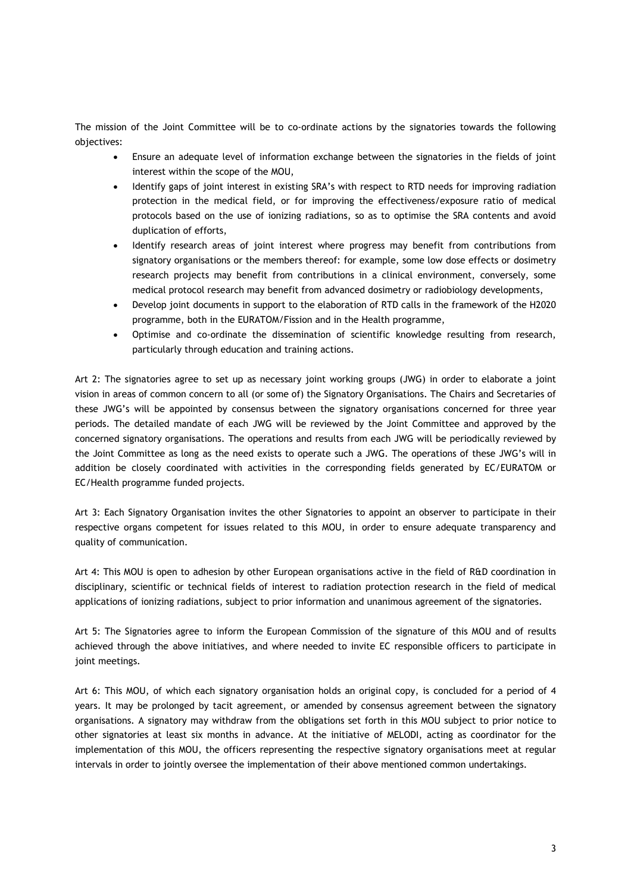The mission of the Joint Committee will be to co-ordinate actions by the signatories towards the following objectives:

- Ensure an adequate level of information exchange between the signatories in the fields of joint interest within the scope of the MOU,
- Identify gaps of joint interest in existing SRA's with respect to RTD needs for improving radiation protection in the medical field, or for improving the effectiveness/exposure ratio of medical protocols based on the use of ionizing radiations, so as to optimise the SRA contents and avoid duplication of efforts,
- Identify research areas of joint interest where progress may benefit from contributions from signatory organisations or the members thereof: for example, some low dose effects or dosimetry research projects may benefit from contributions in a clinical environment, conversely, some medical protocol research may benefit from advanced dosimetry or radiobiology developments,
- Develop joint documents in support to the elaboration of RTD calls in the framework of the H2020 programme, both in the EURATOM/Fission and in the Health programme,
- Optimise and co-ordinate the dissemination of scientific knowledge resulting from research, particularly through education and training actions.

Art 2: The signatories agree to set up as necessary joint working groups (JWG) in order to elaborate a joint vision in areas of common concern to all (or some of) the Signatory Organisations. The Chairs and Secretaries of these JWG's will be appointed by consensus between the signatory organisations concerned for three year periods. The detailed mandate of each JWG will be reviewed by the Joint Committee and approved by the concerned signatory organisations. The operations and results from each JWG will be periodically reviewed by the Joint Committee as long as the need exists to operate such a JWG. The operations of these JWG's will in addition be closely coordinated with activities in the corresponding fields generated by EC/EURATOM or EC/Health programme funded projects.

Art 3: Each Signatory Organisation invites the other Signatories to appoint an observer to participate in their respective organs competent for issues related to this MOU, in order to ensure adequate transparency and quality of communication.

Art 4: This MOU is open to adhesion by other European organisations active in the field of R&D coordination in disciplinary, scientific or technical fields of interest to radiation protection research in the field of medical applications of ionizing radiations, subject to prior information and unanimous agreement of the signatories.

Art 5: The Signatories agree to inform the European Commission of the signature of this MOU and of results achieved through the above initiatives, and where needed to invite EC responsible officers to participate in joint meetings.

Art 6: This MOU, of which each signatory organisation holds an original copy, is concluded for a period of 4 years. It may be prolonged by tacit agreement, or amended by consensus agreement between the signatory organisations. A signatory may withdraw from the obligations set forth in this MOU subject to prior notice to other signatories at least six months in advance. At the initiative of MELODI, acting as coordinator for the implementation of this MOU, the officers representing the respective signatory organisations meet at regular intervals in order to jointly oversee the implementation of their above mentioned common undertakings.